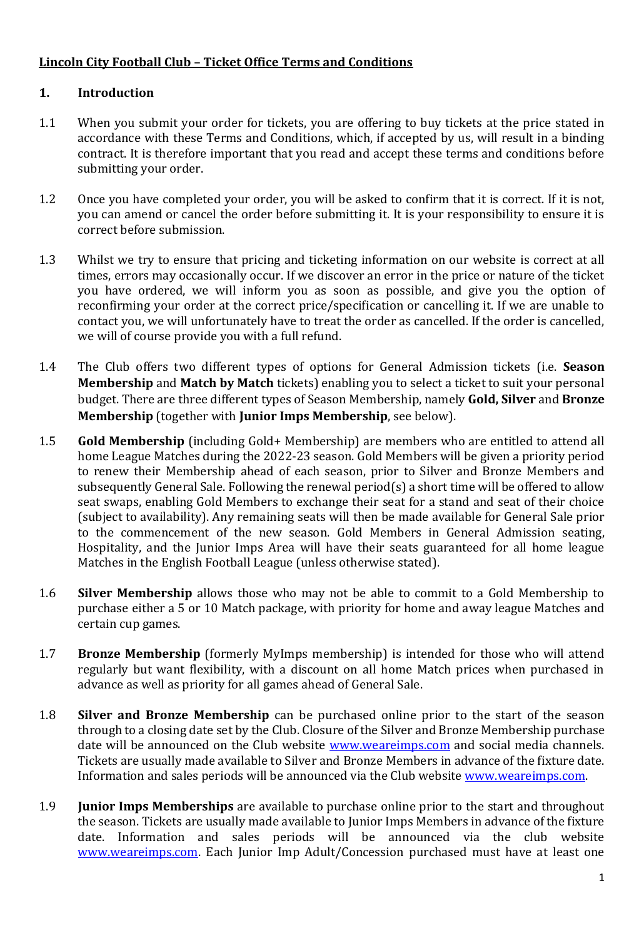## **Lincoln City Football Club – Ticket Office Terms and Conditions**

## **1. Introduction**

- 1.1 When you submit your order for tickets, you are offering to buy tickets at the price stated in accordance with these Terms and Conditions, which, if accepted by us, will result in a binding contract. It is therefore important that you read and accept these terms and conditions before submitting your order.
- 1.2 Once you have completed your order, you will be asked to confirm that it is correct. If it is not, you can amend or cancel the order before submitting it. It is your responsibility to ensure it is correct before submission.
- 1.3 Whilst we try to ensure that pricing and ticketing information on our website is correct at all times, errors may occasionally occur. If we discover an error in the price or nature of the ticket you have ordered, we will inform you as soon as possible, and give you the option of reconfirming your order at the correct price/specification or cancelling it. If we are unable to contact you, we will unfortunately have to treat the order as cancelled. If the order is cancelled, we will of course provide you with a full refund.
- 1.4 The Club offers two different types of options for General Admission tickets (i.e. **Season Membership** and **Match by Match** tickets) enabling you to select a ticket to suit your personal budget. There are three different types of Season Membership, namely **Gold, Silver** and **Bronze Membership** (together with **Junior Imps Membership**, see below).
- 1.5 **Gold Membership** (including Gold+ Membership) are members who are entitled to attend all home League Matches during the 2022-23 season. Gold Members will be given a priority period to renew their Membership ahead of each season, prior to Silver and Bronze Members and subsequently General Sale. Following the renewal period(s) a short time will be offered to allow seat swaps, enabling Gold Members to exchange their seat for a stand and seat of their choice (subject to availability). Any remaining seats will then be made available for General Sale prior to the commencement of the new season. Gold Members in General Admission seating, Hospitality, and the Junior Imps Area will have their seats guaranteed for all home league Matches in the English Football League (unless otherwise stated).
- 1.6 **Silver Membership** allows those who may not be able to commit to a Gold Membership to purchase either a 5 or 10 Match package, with priority for home and away league Matches and certain cup games.
- 1.7 **Bronze Membership** (formerly MyImps membership) is intended for those who will attend regularly but want flexibility, with a discount on all home Match prices when purchased in advance as well as priority for all games ahead of General Sale.
- 1.8 **Silver and Bronze Membership** can be purchased online prior to the start of the season through to a closing date set by the Club. Closure of the Silver and Bronze Membership purchase date will be announced on the Club website [www.weareimps.com](http://www.weareimps.com/) and social media channels. Tickets are usually made available to Silver and Bronze Members in advance of the fixture date. Information and sales periods will be announced via the Club website [www.weareimps.com.](http://www.weareimps.com/)
- 1.9 **Junior Imps Memberships** are available to purchase online prior to the start and throughout the season. Tickets are usually made available to Junior Imps Members in advance of the fixture date. Information and sales periods will be announced via the club website [www.weareimps.com.](http://www.weareimps.com/) Each Junior Imp Adult/Concession purchased must have at least one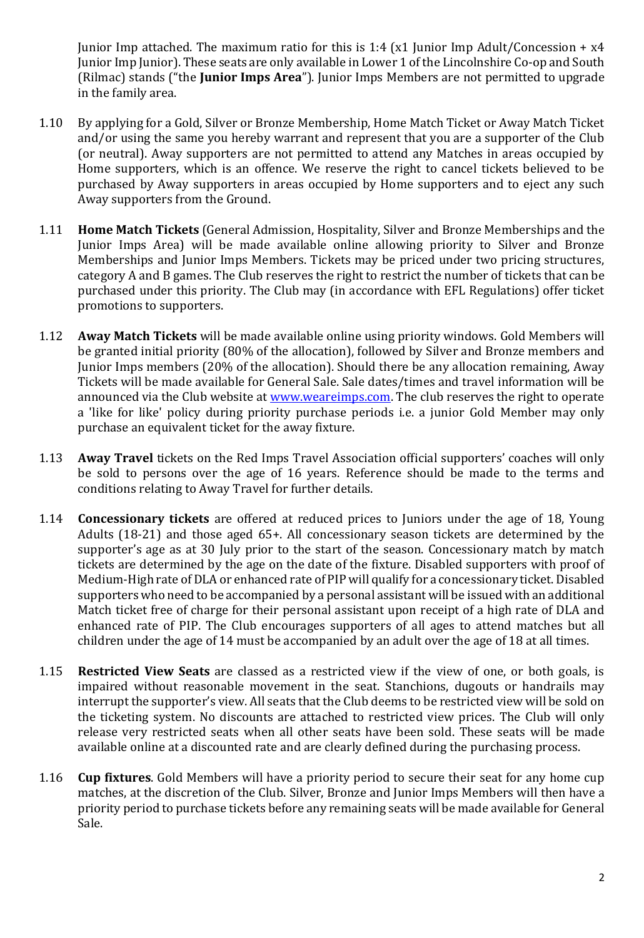Junior Imp attached. The maximum ratio for this is 1:4 (x1 Junior Imp Adult/Concession +  $x4$ Junior Imp Junior). These seats are only available in Lower 1 of the Lincolnshire Co-op and South (Rilmac) stands ("the **Junior Imps Area**"). Junior Imps Members are not permitted to upgrade in the family area.

- 1.10 By applying for a Gold, Silver or Bronze Membership, Home Match Ticket or Away Match Ticket and/or using the same you hereby warrant and represent that you are a supporter of the Club (or neutral). Away supporters are not permitted to attend any Matches in areas occupied by Home supporters, which is an offence. We reserve the right to cancel tickets believed to be purchased by Away supporters in areas occupied by Home supporters and to eject any such Away supporters from the Ground.
- 1.11 **Home Match Tickets** (General Admission, Hospitality, Silver and Bronze Memberships and the Junior Imps Area) will be made available online allowing priority to Silver and Bronze Memberships and Junior Imps Members. Tickets may be priced under two pricing structures, category A and B games. The Club reserves the right to restrict the number of tickets that can be purchased under this priority. The Club may (in accordance with EFL Regulations) offer ticket promotions to supporters.
- 1.12 **Away Match Tickets** will be made available online using priority windows. Gold Members will be granted initial priority (80% of the allocation), followed by Silver and Bronze members and Junior Imps members (20% of the allocation). Should there be any allocation remaining, Away Tickets will be made available for General Sale. Sale dates/times and travel information will be announced via the Club website at [www.weareimps.com.](http://www.weareimps.com/) The club reserves the right to operate a 'like for like' policy during priority purchase periods i.e. a junior Gold Member may only purchase an equivalent ticket for the away fixture.
- 1.13 **Away Travel** tickets on the Red Imps Travel Association official supporters' coaches will only be sold to persons over the age of 16 years. Reference should be made to the terms and conditions relating to Away Travel for further details.
- 1.14 **Concessionary tickets** are offered at reduced prices to Juniors under the age of 18, Young Adults (18-21) and those aged 65+. All concessionary season tickets are determined by the supporter's age as at 30 July prior to the start of the season. Concessionary match by match tickets are determined by the age on the date of the fixture. Disabled supporters with proof of Medium-High rate of DLA or enhanced rate of PIP will qualify for a concessionary ticket. Disabled supporters who need to be accompanied by a personal assistant will be issued with an additional Match ticket free of charge for their personal assistant upon receipt of a high rate of DLA and enhanced rate of PIP. The Club encourages supporters of all ages to attend matches but all children under the age of 14 must be accompanied by an adult over the age of 18 at all times.
- 1.15 **Restricted View Seats** are classed as a restricted view if the view of one, or both goals, is impaired without reasonable movement in the seat. Stanchions, dugouts or handrails may interrupt the supporter's view. All seats that the Club deems to be restricted view will be sold on the ticketing system. No discounts are attached to restricted view prices. The Club will only release very restricted seats when all other seats have been sold. These seats will be made available online at a discounted rate and are clearly defined during the purchasing process.
- 1.16 **Cup fixtures**. Gold Members will have a priority period to secure their seat for any home cup matches, at the discretion of the Club. Silver, Bronze and Junior Imps Members will then have a priority period to purchase tickets before any remaining seats will be made available for General Sale.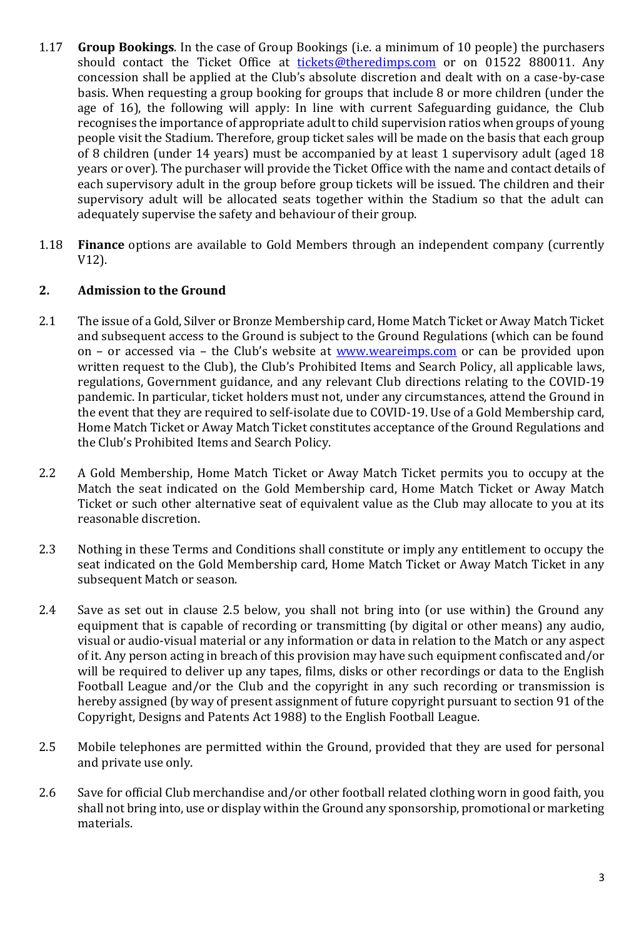- 1.17 **Group Bookings**. In the case of Group Bookings (i.e. a minimum of 10 people) the purchasers should contact the Ticket Office at [tickets@theredimps.com](mailto:tickets@theredimps.com) or on 01522 880011. Any concession shall be applied at the Club's absolute discretion and dealt with on a case-by-case basis. When requesting a group booking for groups that include 8 or more children (under the age of 16), the following will apply: In line with current Safeguarding guidance, the Club recognises the importance of appropriate adult to child supervision ratios when groups of young people visit the Stadium. Therefore, group ticket sales will be made on the basis that each group of 8 children (under 14 years) must be accompanied by at least 1 supervisory adult (aged 18 years or over). The purchaser will provide the Ticket Office with the name and contact details of each supervisory adult in the group before group tickets will be issued. The children and their supervisory adult will be allocated seats together within the Stadium so that the adult can adequately supervise the safety and behaviour of their group.
- 1.18 **Finance** options are available to Gold Members through an independent company (currently V12).

### **2. Admission to the Ground**

- 2.1 The issue of a Gold, Silver or Bronze Membership card, Home Match Ticket or Away Match Ticket and subsequent access to the Ground is subject to the Ground Regulations (which can be found on – or accessed via – the Club's website at **[www.weareimps.com](http://www.weareimps.com/)** or can be provided upon written request to the Club), the Club's Prohibited Items and Search Policy, all applicable laws, regulations, Government guidance, and any relevant Club directions relating to the COVID-19 pandemic. In particular, ticket holders must not, under any circumstances, attend the Ground in the event that they are required to self-isolate due to COVID-19. Use of a Gold Membership card, Home Match Ticket or Away Match Ticket constitutes acceptance of the Ground Regulations and the Club's Prohibited Items and Search Policy.
- 2.2 A Gold Membership, Home Match Ticket or Away Match Ticket permits you to occupy at the Match the seat indicated on the Gold Membership card, Home Match Ticket or Away Match Ticket or such other alternative seat of equivalent value as the Club may allocate to you at its reasonable discretion.
- 2.3 Nothing in these Terms and Conditions shall constitute or imply any entitlement to occupy the seat indicated on the Gold Membership card, Home Match Ticket or Away Match Ticket in any subsequent Match or season.
- 2.4 Save as set out in clause 2.5 below, you shall not bring into (or use within) the Ground any equipment that is capable of recording or transmitting (by digital or other means) any audio, visual or audio-visual material or any information or data in relation to the Match or any aspect of it. Any person acting in breach of this provision may have such equipment confiscated and/or will be required to deliver up any tapes, films, disks or other recordings or data to the English Football League and/or the Club and the copyright in any such recording or transmission is hereby assigned (by way of present assignment of future copyright pursuant to section 91 of the Copyright, Designs and Patents Act 1988) to the English Football League.
- 2.5 Mobile telephones are permitted within the Ground, provided that they are used for personal and private use only.
- 2.6 Save for official Club merchandise and/or other football related clothing worn in good faith, you shall not bring into, use or display within the Ground any sponsorship, promotional or marketing materials.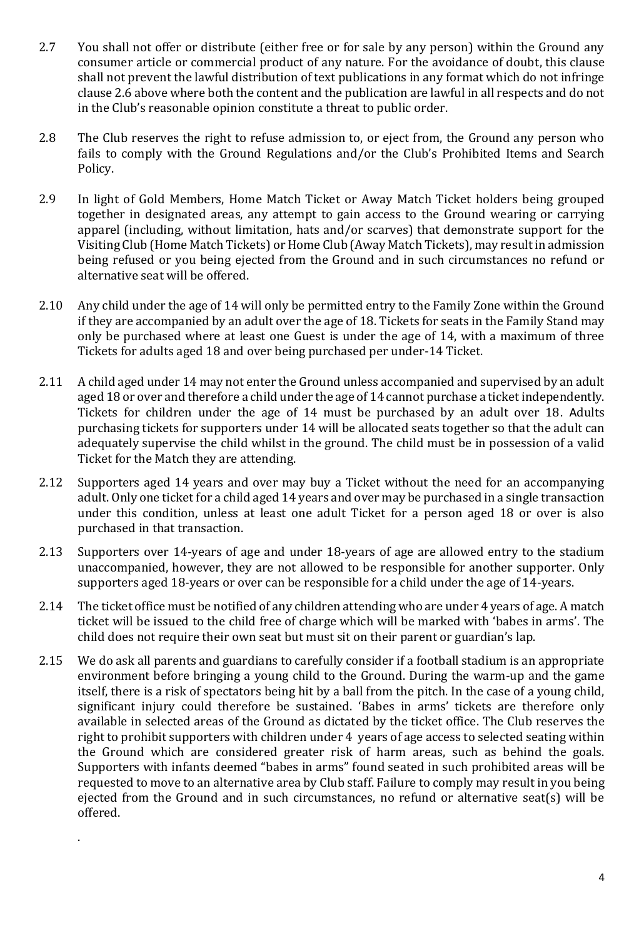- 2.7 You shall not offer or distribute (either free or for sale by any person) within the Ground any consumer article or commercial product of any nature. For the avoidance of doubt, this clause shall not prevent the lawful distribution of text publications in any format which do not infringe clause 2.6 above where both the content and the publication are lawful in all respects and do not in the Club's reasonable opinion constitute a threat to public order.
- 2.8 The Club reserves the right to refuse admission to, or eject from, the Ground any person who fails to comply with the Ground Regulations and/or the Club's Prohibited Items and Search Policy.
- 2.9 In light of Gold Members, Home Match Ticket or Away Match Ticket holders being grouped together in designated areas, any attempt to gain access to the Ground wearing or carrying apparel (including, without limitation, hats and/or scarves) that demonstrate support for the Visiting Club (Home Match Tickets) or Home Club (Away Match Tickets), may result in admission being refused or you being ejected from the Ground and in such circumstances no refund or alternative seat will be offered.
- 2.10 Any child under the age of 14 will only be permitted entry to the Family Zone within the Ground if they are accompanied by an adult over the age of 18. Tickets for seats in the Family Stand may only be purchased where at least one Guest is under the age of 14, with a maximum of three Tickets for adults aged 18 and over being purchased per under-14 Ticket.
- 2.11 A child aged under 14 may not enter the Ground unless accompanied and supervised by an adult aged 18 or over and therefore a child under the age of 14 cannot purchase a ticket independently. Tickets for children under the age of 14 must be purchased by an adult over 18. Adults purchasing tickets for supporters under 14 will be allocated seats together so that the adult can adequately supervise the child whilst in the ground. The child must be in possession of a valid Ticket for the Match they are attending.
- 2.12 Supporters aged 14 years and over may buy a Ticket without the need for an accompanying adult. Only one ticket for a child aged 14 years and over may be purchased in a single transaction under this condition, unless at least one adult Ticket for a person aged 18 or over is also purchased in that transaction.
- 2.13 Supporters over 14-years of age and under 18-years of age are allowed entry to the stadium unaccompanied, however, they are not allowed to be responsible for another supporter. Only supporters aged 18-years or over can be responsible for a child under the age of 14-years.
- 2.14 The ticket office must be notified of any children attending who are under 4 years of age. A match ticket will be issued to the child free of charge which will be marked with 'babes in arms'. The child does not require their own seat but must sit on their parent or guardian's lap.
- 2.15 We do ask all parents and guardians to carefully consider if a football stadium is an appropriate environment before bringing a young child to the Ground. During the warm-up and the game itself, there is a risk of spectators being hit by a ball from the pitch. In the case of a young child, significant injury could therefore be sustained. 'Babes in arms' tickets are therefore only available in selected areas of the Ground as dictated by the ticket office. The Club reserves the right to prohibit supporters with children under 4 years of age access to selected seating within the Ground which are considered greater risk of harm areas, such as behind the goals. Supporters with infants deemed "babes in arms" found seated in such prohibited areas will be requested to move to an alternative area by Club staff. Failure to comply may result in you being ejected from the Ground and in such circumstances, no refund or alternative seat(s) will be offered.

.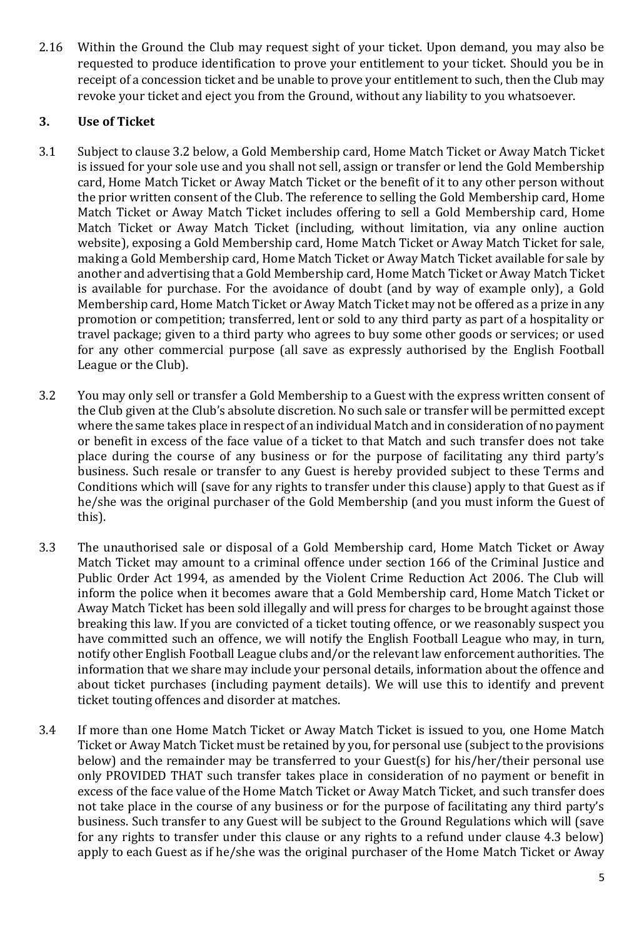2.16 Within the Ground the Club may request sight of your ticket. Upon demand, you may also be requested to produce identification to prove your entitlement to your ticket. Should you be in receipt of a concession ticket and be unable to prove your entitlement to such, then the Club may revoke your ticket and eject you from the Ground, without any liability to you whatsoever.

## **3. Use of Ticket**

- 3.1 Subject to clause 3.2 below, a Gold Membership card, Home Match Ticket or Away Match Ticket is issued for your sole use and you shall not sell, assign or transfer or lend the Gold Membership card, Home Match Ticket or Away Match Ticket or the benefit of it to any other person without the prior written consent of the Club. The reference to selling the Gold Membership card, Home Match Ticket or Away Match Ticket includes offering to sell a Gold Membership card, Home Match Ticket or Away Match Ticket (including, without limitation, via any online auction website), exposing a Gold Membership card, Home Match Ticket or Away Match Ticket for sale, making a Gold Membership card, Home Match Ticket or Away Match Ticket available for sale by another and advertising that a Gold Membership card, Home Match Ticket or Away Match Ticket is available for purchase. For the avoidance of doubt (and by way of example only), a Gold Membership card, Home Match Ticket or Away Match Ticket may not be offered as a prize in any promotion or competition; transferred, lent or sold to any third party as part of a hospitality or travel package; given to a third party who agrees to buy some other goods or services; or used for any other commercial purpose (all save as expressly authorised by the English Football League or the Club).
- 3.2 You may only sell or transfer a Gold Membership to a Guest with the express written consent of the Club given at the Club's absolute discretion. No such sale or transfer will be permitted except where the same takes place in respect of an individual Match and in consideration of no payment or benefit in excess of the face value of a ticket to that Match and such transfer does not take place during the course of any business or for the purpose of facilitating any third party's business. Such resale or transfer to any Guest is hereby provided subject to these Terms and Conditions which will (save for any rights to transfer under this clause) apply to that Guest as if he/she was the original purchaser of the Gold Membership (and you must inform the Guest of this).
- 3.3 The unauthorised sale or disposal of a Gold Membership card, Home Match Ticket or Away Match Ticket may amount to a criminal offence under section 166 of the Criminal Justice and Public Order Act 1994, as amended by the Violent Crime Reduction Act 2006. The Club will inform the police when it becomes aware that a Gold Membership card, Home Match Ticket or Away Match Ticket has been sold illegally and will press for charges to be brought against those breaking this law. If you are convicted of a ticket touting offence, or we reasonably suspect you have committed such an offence, we will notify the English Football League who may, in turn, notify other English Football League clubs and/or the relevant law enforcement authorities. The information that we share may include your personal details, information about the offence and about ticket purchases (including payment details). We will use this to identify and prevent ticket touting offences and disorder at matches.
- 3.4 If more than one Home Match Ticket or Away Match Ticket is issued to you, one Home Match Ticket or Away Match Ticket must be retained by you, for personal use (subject to the provisions below) and the remainder may be transferred to your Guest(s) for his/her/their personal use only PROVIDED THAT such transfer takes place in consideration of no payment or benefit in excess of the face value of the Home Match Ticket or Away Match Ticket, and such transfer does not take place in the course of any business or for the purpose of facilitating any third party's business. Such transfer to any Guest will be subject to the Ground Regulations which will (save for any rights to transfer under this clause or any rights to a refund under clause 4.3 below) apply to each Guest as if he/she was the original purchaser of the Home Match Ticket or Away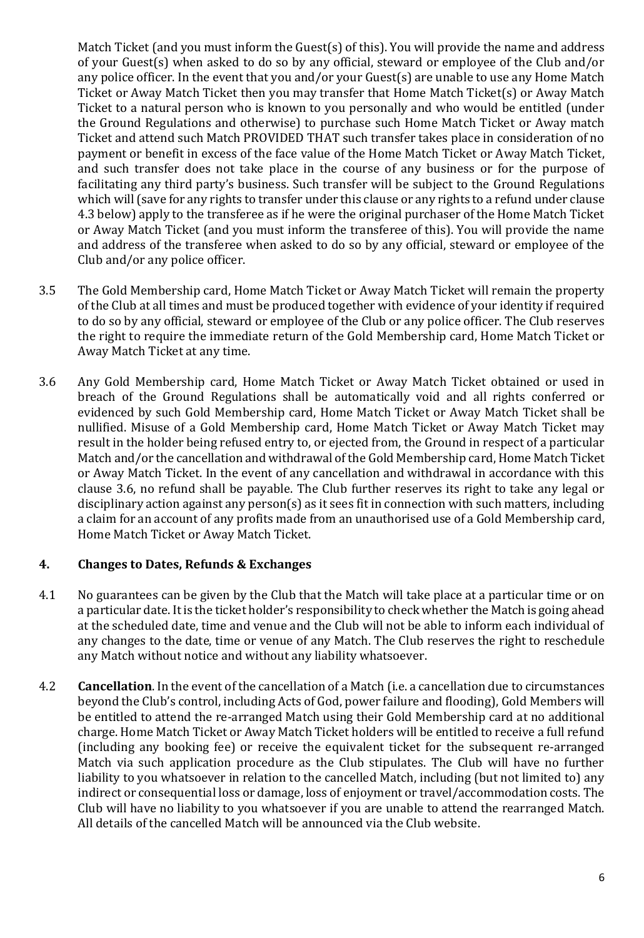Match Ticket (and you must inform the Guest(s) of this). You will provide the name and address of your Guest(s) when asked to do so by any official, steward or employee of the Club and/or any police officer. In the event that you and/or your Guest(s) are unable to use any Home Match Ticket or Away Match Ticket then you may transfer that Home Match Ticket(s) or Away Match Ticket to a natural person who is known to you personally and who would be entitled (under the Ground Regulations and otherwise) to purchase such Home Match Ticket or Away match Ticket and attend such Match PROVIDED THAT such transfer takes place in consideration of no payment or benefit in excess of the face value of the Home Match Ticket or Away Match Ticket, and such transfer does not take place in the course of any business or for the purpose of facilitating any third party's business. Such transfer will be subject to the Ground Regulations which will (save for any rights to transfer under this clause or any rights to a refund under clause 4.3 below) apply to the transferee as if he were the original purchaser of the Home Match Ticket or Away Match Ticket (and you must inform the transferee of this). You will provide the name and address of the transferee when asked to do so by any official, steward or employee of the Club and/or any police officer.

- 3.5 The Gold Membership card, Home Match Ticket or Away Match Ticket will remain the property of the Club at all times and must be produced together with evidence of your identity if required to do so by any official, steward or employee of the Club or any police officer. The Club reserves the right to require the immediate return of the Gold Membership card, Home Match Ticket or Away Match Ticket at any time.
- 3.6 Any Gold Membership card, Home Match Ticket or Away Match Ticket obtained or used in breach of the Ground Regulations shall be automatically void and all rights conferred or evidenced by such Gold Membership card, Home Match Ticket or Away Match Ticket shall be nullified. Misuse of a Gold Membership card, Home Match Ticket or Away Match Ticket may result in the holder being refused entry to, or ejected from, the Ground in respect of a particular Match and/or the cancellation and withdrawal of the Gold Membership card, Home Match Ticket or Away Match Ticket. In the event of any cancellation and withdrawal in accordance with this clause 3.6, no refund shall be payable. The Club further reserves its right to take any legal or disciplinary action against any person(s) as it sees fit in connection with such matters, including a claim for an account of any profits made from an unauthorised use of a Gold Membership card, Home Match Ticket or Away Match Ticket.

## **4. Changes to Dates, Refunds & Exchanges**

- 4.1 No guarantees can be given by the Club that the Match will take place at a particular time or on a particular date. It is the ticket holder's responsibility to check whether the Match is going ahead at the scheduled date, time and venue and the Club will not be able to inform each individual of any changes to the date, time or venue of any Match. The Club reserves the right to reschedule any Match without notice and without any liability whatsoever.
- 4.2 **Cancellation**. In the event of the cancellation of a Match (i.e. a cancellation due to circumstances beyond the Club's control, including Acts of God, power failure and flooding), Gold Members will be entitled to attend the re-arranged Match using their Gold Membership card at no additional charge. Home Match Ticket or Away Match Ticket holders will be entitled to receive a full refund (including any booking fee) or receive the equivalent ticket for the subsequent re-arranged Match via such application procedure as the Club stipulates. The Club will have no further liability to you whatsoever in relation to the cancelled Match, including (but not limited to) any indirect or consequential loss or damage, loss of enjoyment or travel/accommodation costs. The Club will have no liability to you whatsoever if you are unable to attend the rearranged Match. All details of the cancelled Match will be announced via the Club website.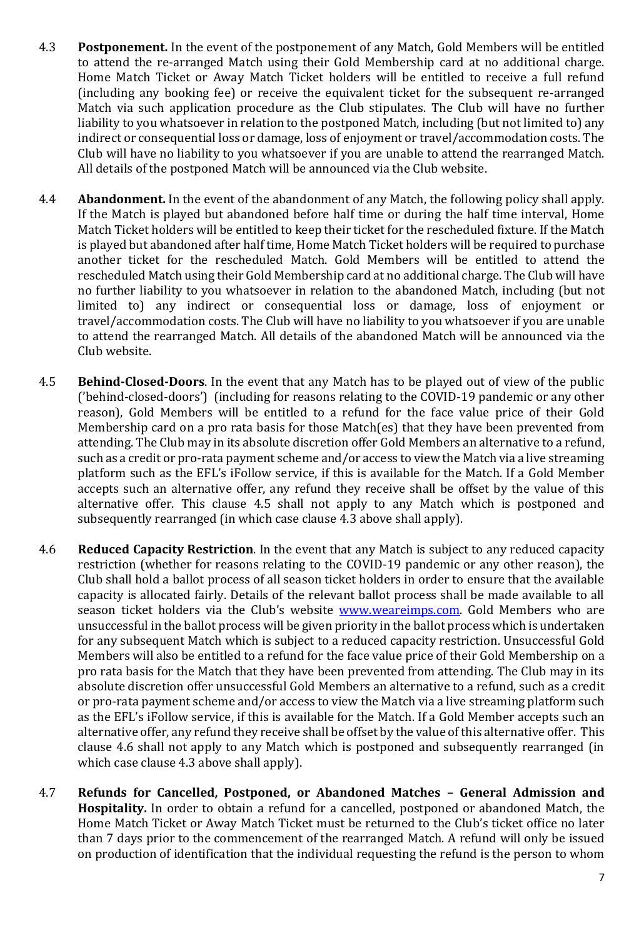- 4.3 **Postponement.** In the event of the postponement of any Match, Gold Members will be entitled to attend the re-arranged Match using their Gold Membership card at no additional charge. Home Match Ticket or Away Match Ticket holders will be entitled to receive a full refund (including any booking fee) or receive the equivalent ticket for the subsequent re-arranged Match via such application procedure as the Club stipulates. The Club will have no further liability to you whatsoever in relation to the postponed Match, including (but not limited to) any indirect or consequential loss or damage, loss of enjoyment or travel/accommodation costs. The Club will have no liability to you whatsoever if you are unable to attend the rearranged Match. All details of the postponed Match will be announced via the Club website.
- 4.4 **Abandonment.** In the event of the abandonment of any Match, the following policy shall apply. If the Match is played but abandoned before half time or during the half time interval, Home Match Ticket holders will be entitled to keep their ticket for the rescheduled fixture. If the Match is played but abandoned after half time, Home Match Ticket holders will be required to purchase another ticket for the rescheduled Match. Gold Members will be entitled to attend the rescheduled Match using their Gold Membership card at no additional charge. The Club will have no further liability to you whatsoever in relation to the abandoned Match, including (but not limited to) any indirect or consequential loss or damage, loss of enjoyment or travel/accommodation costs. The Club will have no liability to you whatsoever if you are unable to attend the rearranged Match. All details of the abandoned Match will be announced via the Club website.
- 4.5 **Behind-Closed-Doors**. In the event that any Match has to be played out of view of the public ('behind-closed-doors') (including for reasons relating to the COVID-19 pandemic or any other reason), Gold Members will be entitled to a refund for the face value price of their Gold Membership card on a pro rata basis for those Match(es) that they have been prevented from attending. The Club may in its absolute discretion offer Gold Members an alternative to a refund, such as a credit or pro-rata payment scheme and/or access to view the Match via a live streaming platform such as the EFL's iFollow service, if this is available for the Match. If a Gold Member accepts such an alternative offer, any refund they receive shall be offset by the value of this alternative offer. This clause 4.5 shall not apply to any Match which is postponed and subsequently rearranged (in which case clause 4.3 above shall apply).
- 4.6 **Reduced Capacity Restriction**. In the event that any Match is subject to any reduced capacity restriction (whether for reasons relating to the COVID-19 pandemic or any other reason), the Club shall hold a ballot process of all season ticket holders in order to ensure that the available capacity is allocated fairly. Details of the relevant ballot process shall be made available to all season ticket holders via the Club's website [www.weareimps.com.](http://www.weareimps.com/) Gold Members who are unsuccessful in the ballot process will be given priority in the ballot process which is undertaken for any subsequent Match which is subject to a reduced capacity restriction. Unsuccessful Gold Members will also be entitled to a refund for the face value price of their Gold Membership on a pro rata basis for the Match that they have been prevented from attending. The Club may in its absolute discretion offer unsuccessful Gold Members an alternative to a refund, such as a credit or pro-rata payment scheme and/or access to view the Match via a live streaming platform such as the EFL's iFollow service, if this is available for the Match. If a Gold Member accepts such an alternative offer, any refund they receive shall be offset by the value of this alternative offer. This clause 4.6 shall not apply to any Match which is postponed and subsequently rearranged (in which case clause 4.3 above shall apply).
- 4.7 **Refunds for Cancelled, Postponed, or Abandoned Matches – General Admission and Hospitality.** In order to obtain a refund for a cancelled, postponed or abandoned Match, the Home Match Ticket or Away Match Ticket must be returned to the Club's ticket office no later than 7 days prior to the commencement of the rearranged Match. A refund will only be issued on production of identification that the individual requesting the refund is the person to whom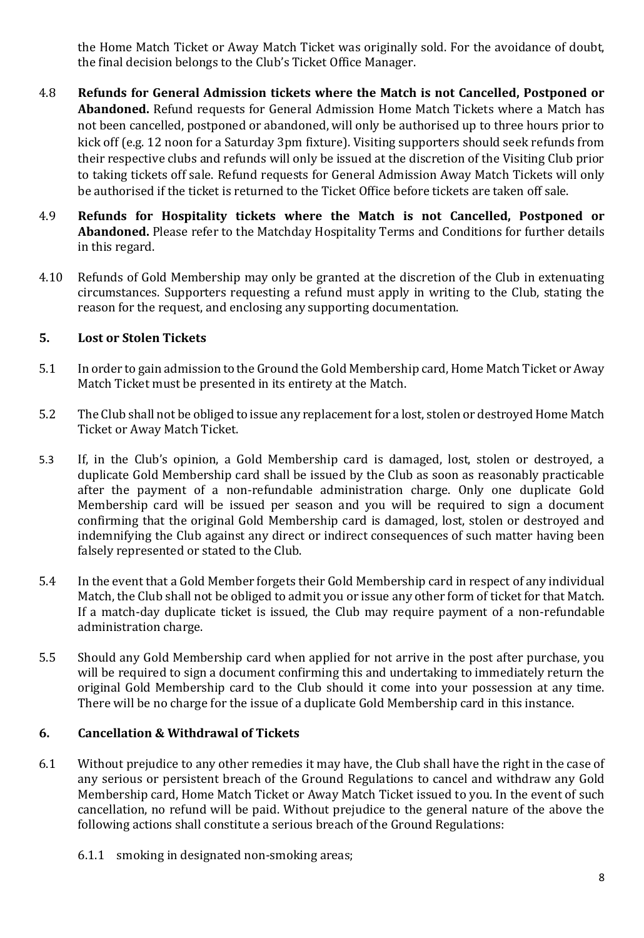the Home Match Ticket or Away Match Ticket was originally sold. For the avoidance of doubt, the final decision belongs to the Club's Ticket Office Manager.

- 4.8 **Refunds for General Admission tickets where the Match is not Cancelled, Postponed or Abandoned.** Refund requests for General Admission Home Match Tickets where a Match has not been cancelled, postponed or abandoned, will only be authorised up to three hours prior to kick off (e.g. 12 noon for a Saturday 3pm fixture). Visiting supporters should seek refunds from their respective clubs and refunds will only be issued at the discretion of the Visiting Club prior to taking tickets off sale. Refund requests for General Admission Away Match Tickets will only be authorised if the ticket is returned to the Ticket Office before tickets are taken off sale.
- 4.9 **Refunds for Hospitality tickets where the Match is not Cancelled, Postponed or Abandoned.** Please refer to the Matchday Hospitality Terms and Conditions for further details in this regard.
- 4.10 Refunds of Gold Membership may only be granted at the discretion of the Club in extenuating circumstances. Supporters requesting a refund must apply in writing to the Club, stating the reason for the request, and enclosing any supporting documentation.

### **5. Lost or Stolen Tickets**

- 5.1 In order to gain admission to the Ground the Gold Membership card, Home Match Ticket or Away Match Ticket must be presented in its entirety at the Match.
- 5.2 The Club shall not be obliged to issue any replacement for a lost, stolen or destroyed Home Match Ticket or Away Match Ticket.
- 5.3 If, in the Club's opinion, a Gold Membership card is damaged, lost, stolen or destroyed, a duplicate Gold Membership card shall be issued by the Club as soon as reasonably practicable after the payment of a non-refundable administration charge. Only one duplicate Gold Membership card will be issued per season and you will be required to sign a document confirming that the original Gold Membership card is damaged, lost, stolen or destroyed and indemnifying the Club against any direct or indirect consequences of such matter having been falsely represented or stated to the Club.
- 5.4 In the event that a Gold Member forgets their Gold Membership card in respect of any individual Match, the Club shall not be obliged to admit you or issue any other form of ticket for that Match. If a match-day duplicate ticket is issued, the Club may require payment of a non-refundable administration charge.
- 5.5 Should any Gold Membership card when applied for not arrive in the post after purchase, you will be required to sign a document confirming this and undertaking to immediately return the original Gold Membership card to the Club should it come into your possession at any time. There will be no charge for the issue of a duplicate Gold Membership card in this instance.

#### **6. Cancellation & Withdrawal of Tickets**

- 6.1 Without prejudice to any other remedies it may have, the Club shall have the right in the case of any serious or persistent breach of the Ground Regulations to cancel and withdraw any Gold Membership card, Home Match Ticket or Away Match Ticket issued to you. In the event of such cancellation, no refund will be paid. Without prejudice to the general nature of the above the following actions shall constitute a serious breach of the Ground Regulations:
	- 6.1.1 smoking in designated non-smoking areas;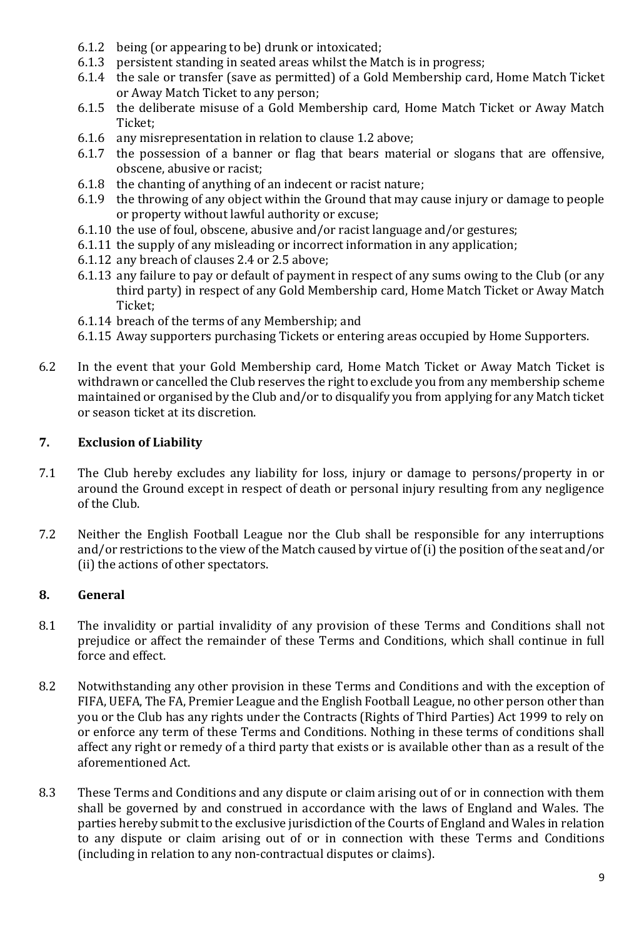- 6.1.2 being (or appearing to be) drunk or intoxicated;
- 6.1.3 persistent standing in seated areas whilst the Match is in progress;
- 6.1.4 the sale or transfer (save as permitted) of a Gold Membership card, Home Match Ticket or Away Match Ticket to any person;
- 6.1.5 the deliberate misuse of a Gold Membership card, Home Match Ticket or Away Match Ticket;
- 6.1.6 any misrepresentation in relation to clause 1.2 above;
- 6.1.7 the possession of a banner or flag that bears material or slogans that are offensive, obscene, abusive or racist;
- 6.1.8 the chanting of anything of an indecent or racist nature;
- 6.1.9 the throwing of any object within the Ground that may cause injury or damage to people or property without lawful authority or excuse;
- 6.1.10 the use of foul, obscene, abusive and/or racist language and/or gestures;
- 6.1.11 the supply of any misleading or incorrect information in any application;
- 6.1.12 any breach of clauses 2.4 or 2.5 above;
- 6.1.13 any failure to pay or default of payment in respect of any sums owing to the Club (or any third party) in respect of any Gold Membership card, Home Match Ticket or Away Match Ticket;
- 6.1.14 breach of the terms of any Membership; and
- 6.1.15 Away supporters purchasing Tickets or entering areas occupied by Home Supporters.
- 6.2 In the event that your Gold Membership card, Home Match Ticket or Away Match Ticket is withdrawn or cancelled the Club reserves the right to exclude you from any membership scheme maintained or organised by the Club and/or to disqualify you from applying for any Match ticket or season ticket at its discretion.

### **7. Exclusion of Liability**

- 7.1 The Club hereby excludes any liability for loss, injury or damage to persons/property in or around the Ground except in respect of death or personal injury resulting from any negligence of the Club.
- 7.2 Neither the English Football League nor the Club shall be responsible for any interruptions and/or restrictions to the view of the Match caused by virtue of (i) the position of the seat and/or (ii) the actions of other spectators.

## **8. General**

- 8.1 The invalidity or partial invalidity of any provision of these Terms and Conditions shall not prejudice or affect the remainder of these Terms and Conditions, which shall continue in full force and effect.
- 8.2 Notwithstanding any other provision in these Terms and Conditions and with the exception of FIFA, UEFA, The FA, Premier League and the English Football League, no other person other than you or the Club has any rights under the Contracts (Rights of Third Parties) Act 1999 to rely on or enforce any term of these Terms and Conditions. Nothing in these terms of conditions shall affect any right or remedy of a third party that exists or is available other than as a result of the aforementioned Act.
- 8.3 These Terms and Conditions and any dispute or claim arising out of or in connection with them shall be governed by and construed in accordance with the laws of England and Wales. The parties hereby submit to the exclusive jurisdiction of the Courts of England and Wales in relation to any dispute or claim arising out of or in connection with these Terms and Conditions (including in relation to any non-contractual disputes or claims).